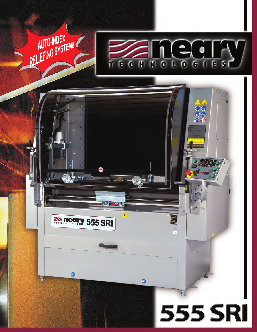